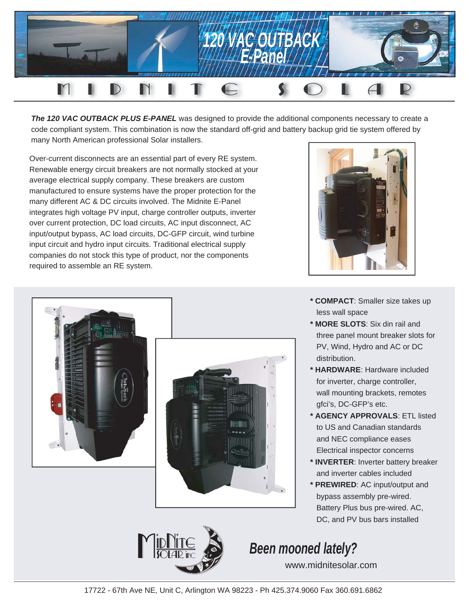

**The 120 VAC OUTBACK PLUS E-PANEL** was designed to provide the additional components necessary to create a code compliant system. This combination is now the standard off-grid and battery backup grid tie system offered by many North American professional Solar installers.

Over-current disconnects are an essential part of every RE system. Renewable energy circuit breakers are not normally stocked at your average electrical supply company. These breakers are custom manufactured to ensure systems have the proper protection for the many different AC & DC circuits involved. The Midnite E-Panel integrates high voltage PV input, charge controller outputs, inverter over current protection, DC load circuits, AC input disconnect, AC input/output bypass, AC load circuits, DC-GFP circuit, wind turbine input circuit and hydro input circuits. Traditional electrical supply companies do not stock this type of product, nor the components required to assemble an RE system.





- **\* COMPACT**: Smaller size takes up less wall space
- **\* MORE SLOTS**: Six din rail and three panel mount breaker slots for PV, Wind, Hydro and AC or DC distribution.
- **\* HARDWARE**: Hardware included for inverter, charge controller, wall mounting brackets, remotes gfci's, DC-GFP's etc.
- **\* AGENCY APPROVALS**: ETL listed to US and Canadian standards and NEC compliance eases Electrical inspector concerns
- **\* INVERTER**: Inverter battery breaker and inverter cables included
- **\* PREWIRED**: AC input/output and bypass assembly pre-wired. Battery Plus bus pre-wired. AC, DC, and PV bus bars installed

# *Been mooned lately?*

www.midnitesolar.com



# 17722 - 67th Ave NE, Unit C, Arlington WA 98223 - Ph 425.374.9060 Fax 360.691.6862